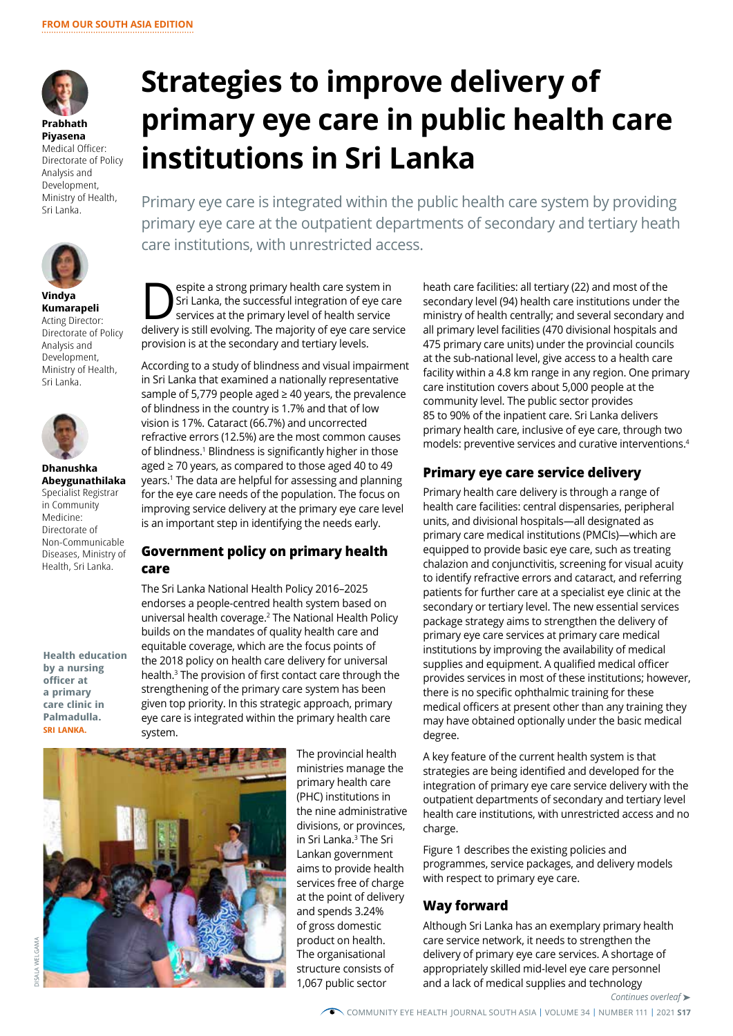

**Prabhath Piyasena**  Medical Officer: Directorate of Policy Analysis and Development, Ministry of Health, Sri Lanka.



#### **Vindya Kumarapeli**  Acting Director: Directorate of Policy Analysis and Development, Ministry of Health, Sri Lanka.



**Dhanushka Abeygunathilaka**  Specialist Registrar in Community Medicine: Directorate of Non-Communicable Diseases, Ministry of Health, Sri Lanka.

**Health education by a nursing officer at a primary care clinic in Palmadulla. SRI LANKA.** 

# **Strategies to improve delivery of primary eye care in public health care institutions in Sri Lanka**

Primary eye care is integrated within the public health care system by providing primary eye care at the outpatient departments of secondary and tertiary heath care institutions, with unrestricted access.

**Source and Services at the successful integration of eye car**<br>
services at the primary level of health service<br>
delivers is still over integration of eye care is the primary level of health service Sri Lanka, the successful integration of eye care delivery is still evolving. The majority of eye care service provision is at the secondary and tertiary levels.

According to a study of blindness and visual impairment in Sri Lanka that examined a nationally representative sample of 5,779 people aged  $\geq$  40 years, the prevalence of blindness in the country is 1.7% and that of low vision is 17%. Cataract (66.7%) and uncorrected refractive errors (12.5%) are the most common causes of blindness.1 Blindness is significantly higher in those aged ≥ 70 years, as compared to those aged 40 to 49 years.1 The data are helpful for assessing and planning for the eye care needs of the population. The focus on improving service delivery at the primary eye care level is an important step in identifying the needs early.

## **Government policy on primary health care**

The Sri Lanka National Health Policy 2016–2025 endorses a people-centred health system based on universal health coverage.2 The National Health Policy builds on the mandates of quality health care and equitable coverage, which are the focus points of the 2018 policy on health care delivery for universal health.3 The provision of first contact care through the strengthening of the primary care system has been given top priority. In this strategic approach, primary eye care is integrated within the primary health care system.



The provincial health ministries manage the primary health care (PHC) institutions in the nine administrative divisions, or provinces, in Sri Lanka.3 The Sri Lankan government aims to provide health services free of charge at the point of delivery and spends 3.24% of gross domestic product on health. The organisational structure consists of 1,067 public sector

heath care facilities: all tertiary (22) and most of the secondary level (94) health care institutions under the ministry of health centrally; and several secondary and all primary level facilities (470 divisional hospitals and 475 primary care units) under the provincial councils at the sub-national level, give access to a health care facility within a 4.8 km range in any region. One primary care institution covers about 5,000 people at the community level. The public sector provides 85 to 90% of the inpatient care. Sri Lanka delivers primary health care, inclusive of eye care, through two models: preventive services and curative interventions.4

# **Primary eye care service delivery**

Primary health care delivery is through a range of health care facilities: central dispensaries, peripheral units, and divisional hospitals—all designated as primary care medical institutions (PMCIs)—which are equipped to provide basic eye care, such as treating chalazion and conjunctivitis, screening for visual acuity to identify refractive errors and cataract, and referring patients for further care at a specialist eye clinic at the secondary or tertiary level. The new essential services package strategy aims to strengthen the delivery of primary eye care services at primary care medical institutions by improving the availability of medical supplies and equipment. A qualified medical officer provides services in most of these institutions; however, there is no specific ophthalmic training for these medical officers at present other than any training they may have obtained optionally under the basic medical degree.

A key feature of the current health system is that strategies are being identified and developed for the integration of primary eye care service delivery with the outpatient departments of secondary and tertiary level health care institutions, with unrestricted access and no charge.

Figure 1 describes the existing policies and programmes, service packages, and delivery models with respect to primary eye care.

## **Way forward**

Although Sri Lanka has an exemplary primary health care service network, it needs to strengthen the delivery of primary eye care services. A shortage of appropriately skilled mid-level eye care personnel and a lack of medical supplies and technology

*Continues overleaf* ➤